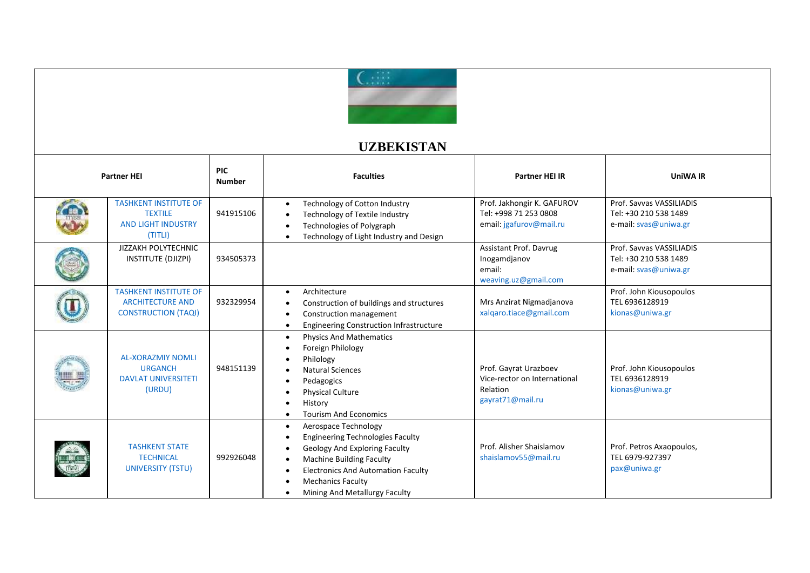

## **UZBEKISTAN**

| <b>Partner HEI</b> |                                                                                        | <b>PIC</b><br><b>Number</b> | <b>Faculties</b>                                                                                                                                                                                                                                                                                                    | <b>Partner HEI IR</b>                                                                 | <b>UniWA IR</b>                                                            |
|--------------------|----------------------------------------------------------------------------------------|-----------------------------|---------------------------------------------------------------------------------------------------------------------------------------------------------------------------------------------------------------------------------------------------------------------------------------------------------------------|---------------------------------------------------------------------------------------|----------------------------------------------------------------------------|
|                    | <b>TASHKENT INSTITUTE OF</b><br><b>TEXTILE</b><br><b>AND LIGHT INDUSTRY</b><br>(TITLI) | 941915106                   | Technology of Cotton Industry<br>$\bullet$<br>Technology of Textile Industry<br>Technologies of Polygraph<br>$\bullet$<br>Technology of Light Industry and Design                                                                                                                                                   | Prof. Jakhongir K. GAFUROV<br>Tel: +998 71 253 0808<br>email: jgafurov@mail.ru        | Prof. Sayyas VASSILIADIS<br>Tel: +30 210 538 1489<br>e-mail: svas@uniwa.gr |
|                    | JIZZAKH POLYTECHNIC<br>INSTITUTE (DJIZPI)                                              | 934505373                   |                                                                                                                                                                                                                                                                                                                     | Assistant Prof. Davrug<br>Inogamdjanov<br>email:<br>weaving.uz@gmail.com              | Prof. Sayyas VASSILIADIS<br>Tel: +30 210 538 1489<br>e-mail: svas@uniwa.gr |
|                    | <b>TASHKENT INSTITUTE OF</b><br><b>ARCHITECTURE AND</b><br><b>CONSTRUCTION (TAQI)</b>  | 932329954                   | Architecture<br>$\bullet$<br>Construction of buildings and structures<br>$\bullet$<br>Construction management<br>$\bullet$<br><b>Engineering Construction Infrastructure</b><br>$\bullet$                                                                                                                           | Mrs Anzirat Nigmadjanova<br>xalgaro.tiace@gmail.com                                   | Prof. John Kiousopoulos<br>TEL 6936128919<br>kionas@uniwa.gr               |
|                    | <b>AL-XORAZMIY NOMLI</b><br><b>URGANCH</b><br><b>DAVLAT UNIVERSITETI</b><br>(URDU)     | 948151139                   | <b>Physics And Mathematics</b><br>$\bullet$<br>Foreign Philology<br>$\bullet$<br>Philology<br><b>Natural Sciences</b><br>Pedagogics<br>$\bullet$<br><b>Physical Culture</b><br>$\bullet$<br>History<br>$\bullet$<br><b>Tourism And Economics</b><br>$\bullet$                                                       | Prof. Gayrat Urazboev<br>Vice-rector on International<br>Relation<br>gayrat71@mail.ru | Prof. John Kiousopoulos<br>TEL 6936128919<br>kionas@uniwa.gr               |
|                    | <b>TASHKENT STATE</b><br><b>TECHNICAL</b><br><b>UNIVERSITY (TSTU)</b>                  | 992926048                   | Aerospace Technology<br>$\bullet$<br><b>Engineering Technologies Faculty</b><br>$\bullet$<br>Geology And Exploring Faculty<br>$\bullet$<br><b>Machine Building Faculty</b><br>$\bullet$<br><b>Electronics And Automation Faculty</b><br>$\bullet$<br><b>Mechanics Faculty</b><br>٠<br>Mining And Metallurgy Faculty | Prof. Alisher Shaislamov<br>shaislamov55@mail.ru                                      | Prof. Petros Axaopoulos,<br>TEL 6979-927397<br>pax@uniwa.gr                |